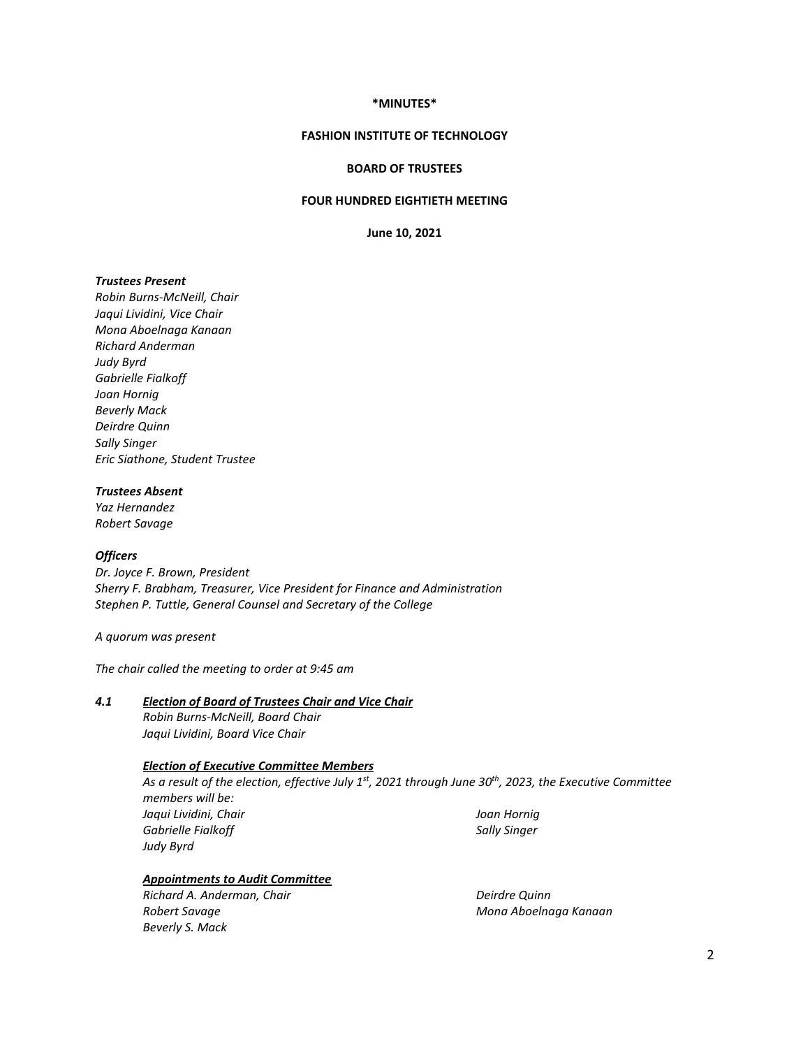#### **\*MINUTES\***

#### **FASHION INSTITUTE OF TECHNOLOGY**

#### **BOARD OF TRUSTEES**

## **FOUR HUNDRED EIGHTIETH MEETING**

**June 10, 2021**

#### *Trustees Present*

*Robin Burns-McNeill, Chair Jaqui Lividini, Vice Chair Mona Aboelnaga Kanaan Richard Anderman Judy Byrd Gabrielle Fialkoff Joan Hornig Beverly Mack Deirdre Quinn Sally Singer Eric Siathone, Student Trustee*

### *Trustees Absent*

*Yaz Hernandez Robert Savage*

#### *Officers*

*Dr. Joyce F. Brown, President Sherry F. Brabham, Treasurer, Vice President for Finance and Administration Stephen P. Tuttle, General Counsel and Secretary of the College*

#### *A quorum was present*

*The chair called the meeting to order at 9:45 am*

#### *4.1 Election of Board of Trustees Chair and Vice Chair*

*Robin Burns-McNeill, Board Chair Jaqui Lividini, Board Vice Chair*

# *Election of Executive Committee Members*

*As a result of the election, effective July 1st, 2021 through June 30th, 2023, the Executive Committee members will be: Jaqui Lividini, Chair Gabrielle Fialkoff Judy Byrd Joan Hornig Sally Singer*

*Appointments to Audit Committee*

*Richard A. Anderman, Chair Robert Savage Beverly S. Mack*

*Deirdre Quinn Mona Aboelnaga Kanaan*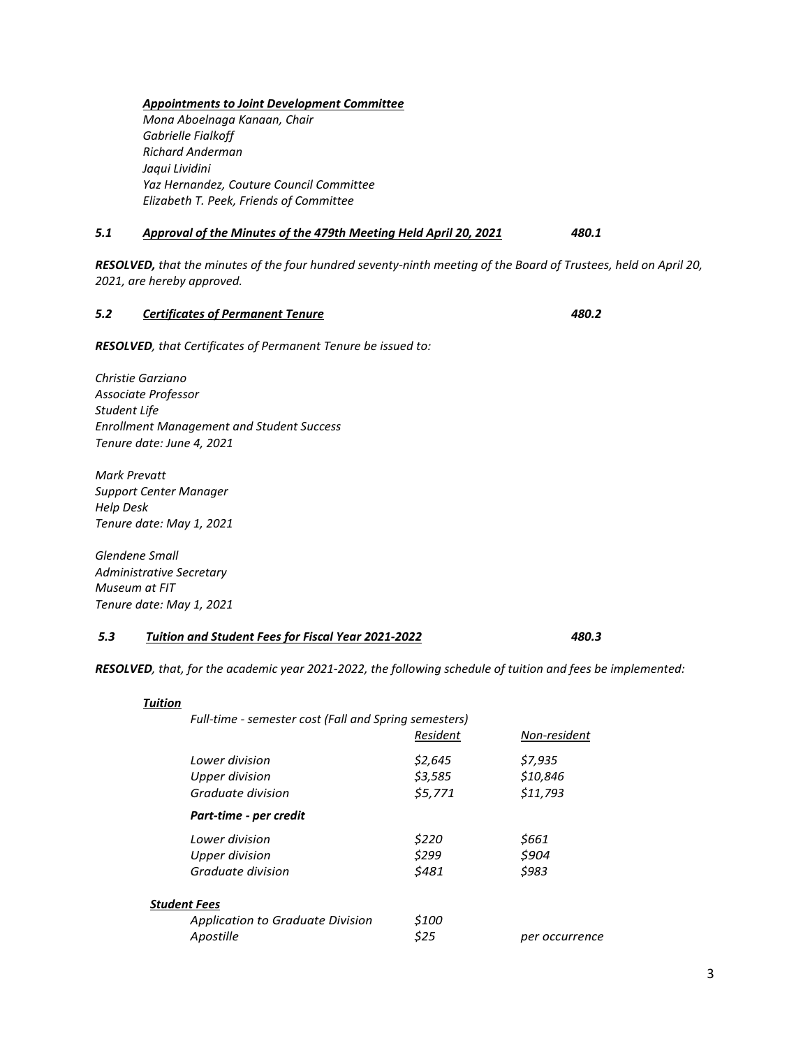## *Appointments to Joint Development Committee*

*Mona Aboelnaga Kanaan, Chair Gabrielle Fialkoff Richard Anderman Jaqui Lividini Yaz Hernandez, Couture Council Committee Elizabeth T. Peek, Friends of Committee*

# *5.1 Approval of the Minutes of the 479th Meeting Held April 20, 2021 480.1*

*RESOLVED, that the minutes of the four hundred seventy-ninth meeting of the Board of Trustees, held on April 20, 2021, are hereby approved.*

# *5.2 Certificates of Permanent Tenure 480.2*

*RESOLVED, that Certificates of Permanent Tenure be issued to:* 

*Christie Garziano Associate Professor Student Life Enrollment Management and Student Success Tenure date: June 4, 2021*

*Mark Prevatt Support Center Manager Help Desk Tenure date: May 1, 2021*

*Glendene Small Administrative Secretary Museum at FIT Tenure date: May 1, 2021*

## *5.3 Tuition and Student Fees for Fiscal Year 2021-2022 480.3*

*RESOLVED, that, for the academic year 2021-2022, the following schedule of tuition and fees be implemented:*

|                     | Full-time - semester cost (Fall and Spring semesters) |               |                |
|---------------------|-------------------------------------------------------|---------------|----------------|
|                     |                                                       | Resident      | Non-resident   |
|                     | Lower division                                        | \$2,645       | \$7,935        |
|                     | Upper division                                        | \$3,585       | \$10,846       |
|                     | Graduate division                                     | \$5,771       | \$11,793       |
|                     | Part-time - per credit                                |               |                |
|                     | Lower division                                        | \$220         | \$661          |
|                     | Upper division                                        | \$299         | \$904          |
|                     | Graduate division                                     | \$481         | \$983          |
| <b>Student Fees</b> |                                                       |               |                |
|                     | Application to Graduate Division<br>Apostille         | \$100<br>\$25 | per occurrence |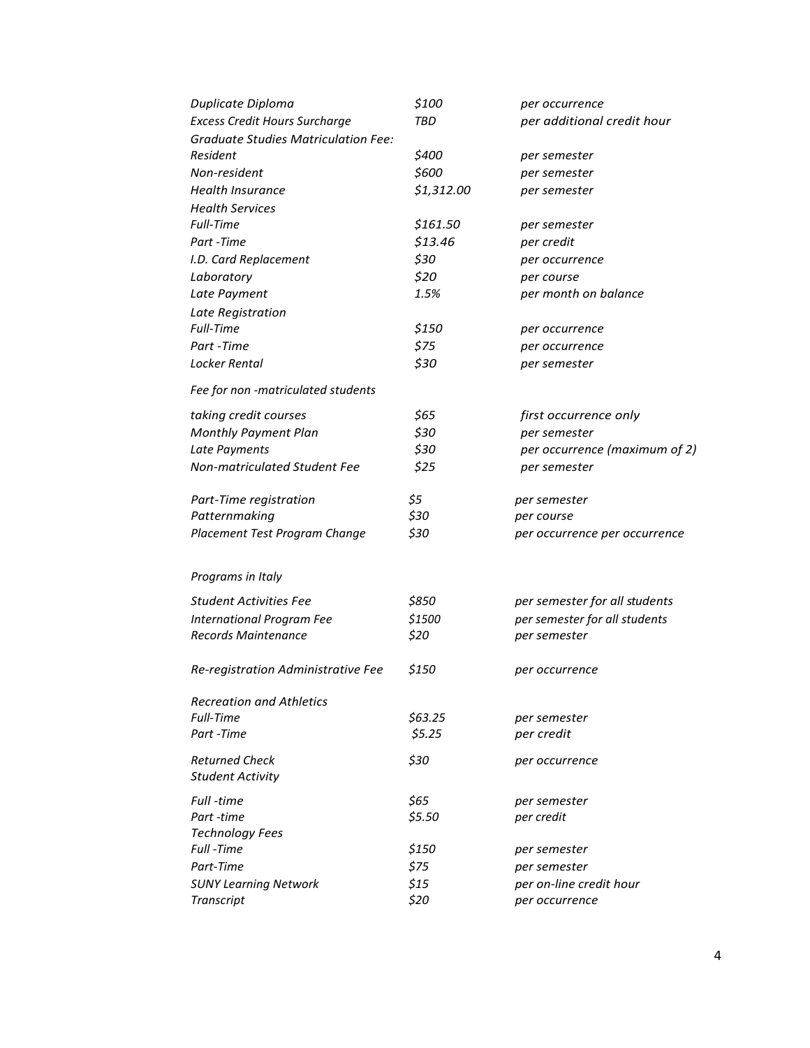| Duplicate Diploma                          | \$100      | per occurrence                |
|--------------------------------------------|------------|-------------------------------|
| <b>Excess Credit Hours Surcharge</b>       | TBD        | per additional credit hour    |
| <b>Graduate Studies Matriculation Fee:</b> |            |                               |
| Resident                                   | \$400      | per semester                  |
| Non-resident                               | \$600      | per semester                  |
| <b>Health Insurance</b>                    | \$1,312.00 | per semester                  |
| <b>Health Services</b>                     |            |                               |
| Full-Time                                  | \$161.50   | per semester                  |
| Part -Time                                 | \$13.46    | per credit                    |
| I.D. Card Replacement                      | \$30       | per occurrence                |
| Laboratory                                 | \$20       | per course                    |
| Late Payment                               | 1.5%       | per month on balance          |
| Late Registration                          |            |                               |
| Full-Time                                  | \$150      | per occurrence                |
| Part -Time                                 | \$75       | per occurrence                |
| Locker Rental                              | \$30       | per semester                  |
| Fee for non -matriculated students         |            |                               |
| taking credit courses                      | \$65       | first occurrence only         |
| Monthly Payment Plan                       | \$30       | per semester                  |
| Late Payments                              | \$30       | per occurrence (maximum of 2) |
| Non-matriculated Student Fee               | \$25       | per semester                  |
| Part-Time registration                     | \$5        | per semester                  |
| Patternmaking                              | \$30       | per course                    |
| Placement Test Program Change              | \$30       | per occurrence per occurrence |
| Programs in Italy                          |            |                               |
|                                            |            |                               |
| <b>Student Activities Fee</b>              | \$850      | per semester for all students |
| <b>International Program Fee</b>           | \$1500     | per semester for all students |
| Records Maintenance                        | \$20       | per semester                  |
| Re-registration Administrative Fee         | \$150      | per occurrence                |
| <b>Recreation and Athletics</b>            |            |                               |
| Full-Time                                  | \$63.25    | per semester                  |
| Part -Time                                 | \$5.25     | per credit                    |
| <b>Returned Check</b>                      | \$30       | per occurrence                |
| <b>Student Activity</b>                    |            |                               |
| Full -time                                 | \$65       | per semester                  |
| Part -time                                 | \$5.50     | per credit                    |
| <b>Technology Fees</b>                     |            |                               |
| Full -Time                                 | \$150      | per semester                  |
| Part-Time                                  | \$75       | per semester                  |
| <b>SUNY Learning Network</b>               | $$15$      | per on-line credit hour       |
| Transcript                                 | \$20       | per occurrence                |